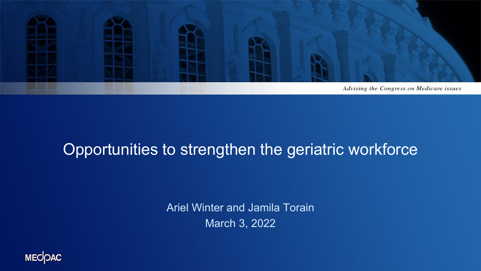

### Opportunities to strengthen the geriatric workforce

Ariel Winter and Jamila Torain March 3, 2022

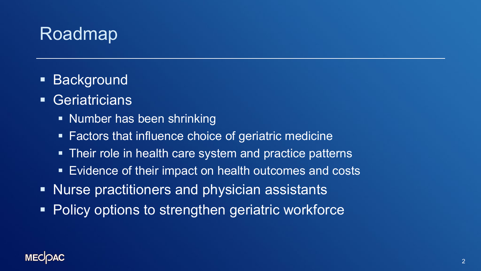# Roadmap

- **Background**
- **Geriatricians** 
	- **Number has been shrinking**
	- **Factors that influence choice of geriatric medicine**
	- Their role in health care system and practice patterns
	- Evidence of their impact on health outcomes and costs
- **Nurse practitioners and physician assistants**
- **Policy options to strengthen geriatric workforce**

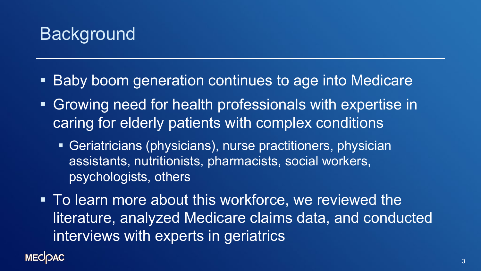

- Baby boom generation continues to age into Medicare
- Growing need for health professionals with expertise in caring for elderly patients with complex conditions
	- Geriatricians (physicians), nurse practitioners, physician assistants, nutritionists, pharmacists, social workers, psychologists, others
- To learn more about this workforce, we reviewed the literature, analyzed Medicare claims data, and conducted interviews with experts in geriatrics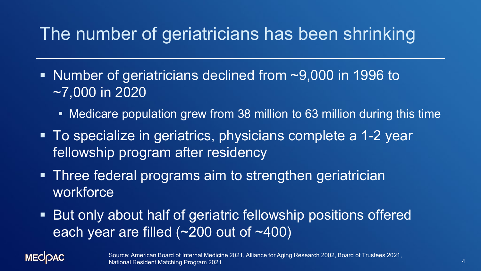## The number of geriatricians has been shrinking

- Number of geriatricians declined from ~9,000 in 1996 to ~7,000 in 2020
	- Medicare population grew from 38 million to 63 million during this time
- To specialize in geriatrics, physicians complete a 1-2 year fellowship program after residency
- Three federal programs aim to strengthen geriatrician workforce
- But only about half of geriatric fellowship positions offered each year are filled (~200 out of ~400)

**MECOAC** 

Source: American Board of Internal Medicine 2021, Alliance for Aging Research 2002, Board of Trustees 2021, National Resident Matching Program 2021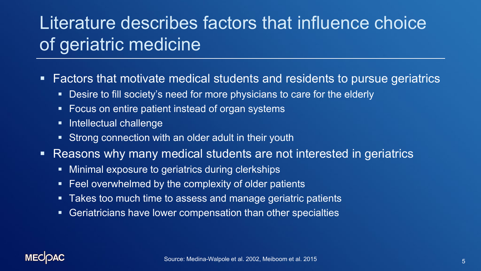# Literature describes factors that influence choice of geriatric medicine

- Factors that motivate medical students and residents to pursue geriatrics
	- Desire to fill society's need for more physicians to care for the elderly
	- **Focus on entire patient instead of organ systems**
	- **Intellectual challenge**
	- **Strong connection with an older adult in their youth**
- Reasons why many medical students are not interested in geriatrics
	- **EXTENGIO EXPOSURE TO GETALLERY CONTROLLERY MINITIES**
	- **Feel overwhelmed by the complexity of older patients**
	- **Takes too much time to assess and manage geriatric patients**
	- **Geriatricians have lower compensation than other specialties**

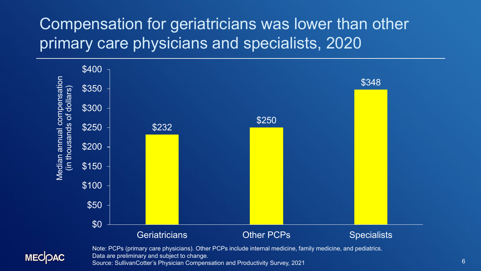### Compensation for geriatricians was lower than other primary care physicians and specialists, 2020





Note: PCPs (primary care physicians). Other PCPs include internal medicine, family medicine, and pediatrics. Data are preliminary and subject to change. Source: SullivanCotter's Physician Compensation and Productivity Survey, 2021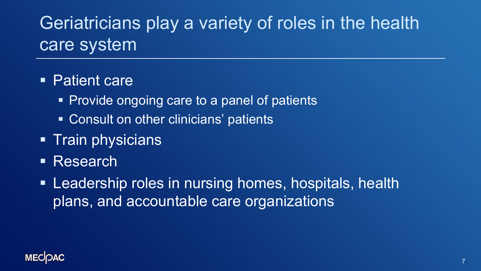# Geriatricians play a variety of roles in the health care system

#### ■ Patient care

- Provide ongoing care to a panel of patients
- Consult on other clinicians' patients
- **Train physicians**
- **Research**
- **Leadership roles in nursing homes, hospitals, health** plans, and accountable care organizations

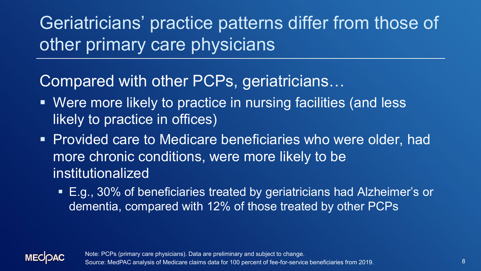Geriatricians' practice patterns differ from those of other primary care physicians

### Compared with other PCPs, geriatricians…

- Were more likely to practice in nursing facilities (and less likely to practice in offices)
- Provided care to Medicare beneficiaries who were older, had more chronic conditions, were more likely to be institutionalized
	- E.g., 30% of beneficiaries treated by geriatricians had Alzheimer's or dementia, compared with 12% of those treated by other PCPs

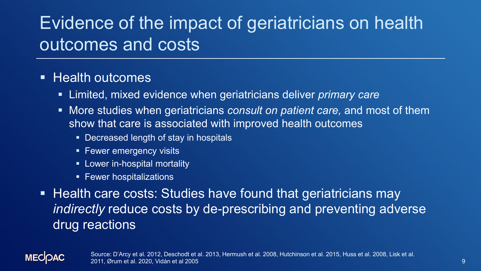# Evidence of the impact of geriatricians on health outcomes and costs

#### **Health outcomes**

- Limited, mixed evidence when geriatricians deliver *primary care*
- More studies when geriatricians *consult on patient care,* and most of them show that care is associated with improved health outcomes
	- Decreased length of stay in hospitals
	- **Fewer emergency visits**
	- **EXEC** Lower in-hospital mortality
	- **Fewer hospitalizations**
- Health care costs: Studies have found that geriatricians may *indirectly* reduce costs by de-prescribing and preventing adverse drug reactions

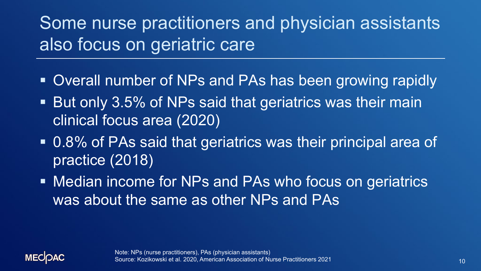Some nurse practitioners and physician assistants also focus on geriatric care

- Overall number of NPs and PAs has been growing rapidly
- **But only 3.5% of NPs said that geriatrics was their main** clinical focus area (2020)
- 0.8% of PAs said that geriatrics was their principal area of practice (2018)
- Median income for NPs and PAs who focus on geriatrics was about the same as other NPs and PAs

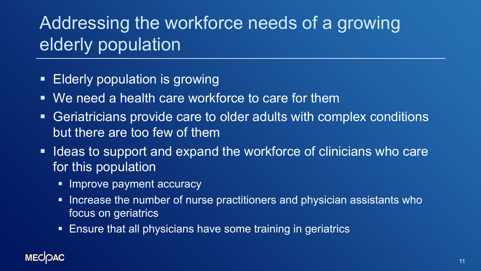# Addressing the workforce needs of a growing elderly population

- **Elderly population is growing**
- We need a health care workforce to care for them
- Geriatricians provide care to older adults with complex conditions but there are too few of them
- **If Ideas to support and expand the workforce of clinicians who care** for this population
	- **Improve payment accuracy**
	- **Increase the number of nurse practitioners and physician assistants who** focus on geriatrics
	- **Ensure that all physicians have some training in geriatrics**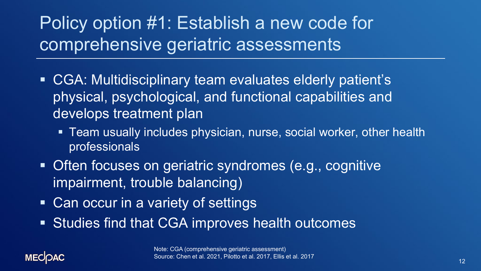# Policy option #1: Establish a new code for comprehensive geriatric assessments

- CGA: Multidisciplinary team evaluates elderly patient's physical, psychological, and functional capabilities and develops treatment plan
	- Team usually includes physician, nurse, social worker, other health professionals
- Often focuses on geriatric syndromes (e.g., cognitive impairment, trouble balancing)
- Can occur in a variety of settings
- Studies find that CGA improves health outcomes

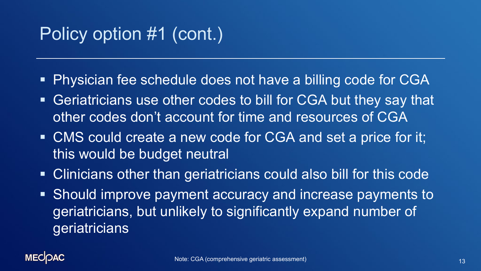# Policy option #1 (cont.)

- Physician fee schedule does not have a billing code for CGA
- Geriatricians use other codes to bill for CGA but they say that other codes don't account for time and resources of CGA
- CMS could create a new code for CGA and set a price for it; this would be budget neutral
- Clinicians other than geriatricians could also bill for this code
- **Should improve payment accuracy and increase payments to** geriatricians, but unlikely to significantly expand number of geriatricians

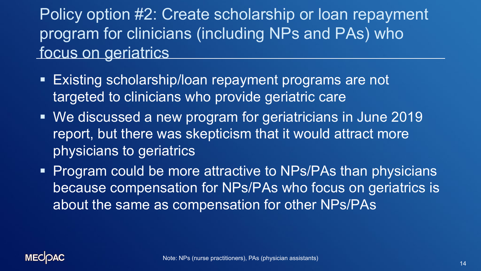Policy option #2: Create scholarship or loan repayment program for clinicians (including NPs and PAs) who focus on geriatrics

- Existing scholarship/loan repayment programs are not targeted to clinicians who provide geriatric care
- We discussed a new program for geriatricians in June 2019 report, but there was skepticism that it would attract more physicians to geriatrics
- **Program could be more attractive to NPs/PAs than physicians** because compensation for NPs/PAs who focus on geriatrics is about the same as compensation for other NPs/PAs

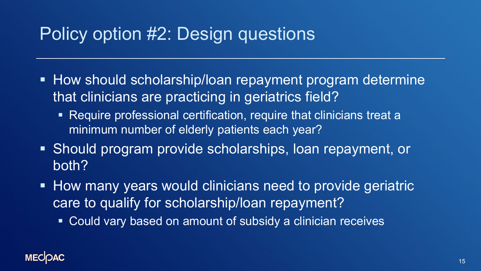## Policy option #2: Design questions

- **How should scholarship/loan repayment program determine** that clinicians are practicing in geriatrics field?
	- Require professional certification, require that clinicians treat a minimum number of elderly patients each year?
- Should program provide scholarships, loan repayment, or both?
- **How many years would clinicians need to provide geriatric** care to qualify for scholarship/loan repayment?
	- Could vary based on amount of subsidy a clinician receives

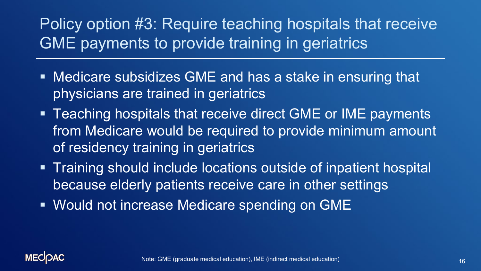### Policy option #3: Require teaching hospitals that receive GME payments to provide training in geriatrics

- Medicare subsidizes GME and has a stake in ensuring that physicians are trained in geriatrics
- Teaching hospitals that receive direct GME or IME payments from Medicare would be required to provide minimum amount of residency training in geriatrics
- **Training should include locations outside of inpatient hospital** because elderly patients receive care in other settings
- Would not increase Medicare spending on GME

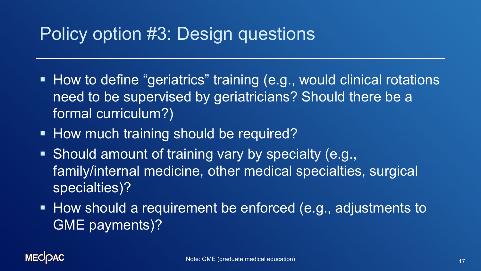### Policy option #3: Design questions

- How to define "geriatrics" training (e.g., would clinical rotations need to be supervised by geriatricians? Should there be a formal curriculum?)
- **How much training should be required?**
- Should amount of training vary by specialty (e.g., family/internal medicine, other medical specialties, surgical specialties)?
- **How should a requirement be enforced (e.g., adjustments to** GME payments)?